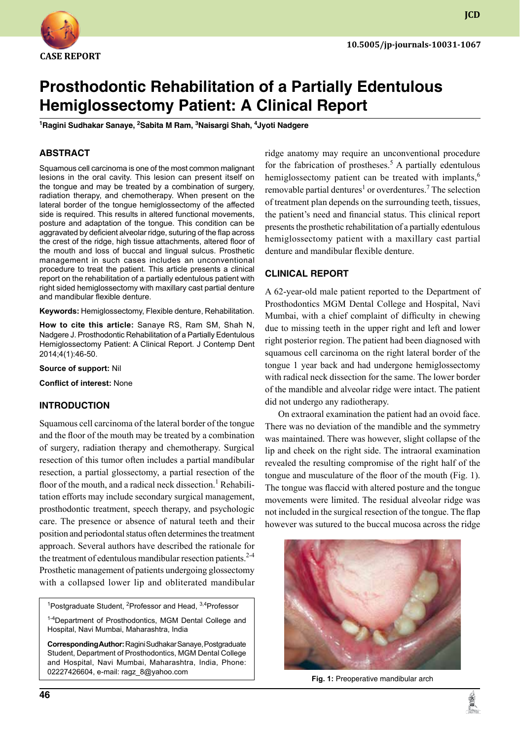

**JCD**

# **Prosthodontic Rehabilitation of a Partially Edentulous Hemiglossectomy Patient: A Clinical Report**

<sup>1</sup>Ragini Sudhakar Sanaye, <sup>2</sup>Sabita M Ram, <sup>3</sup>Naisargi Shah, <sup>4</sup>Jyoti Nadgere

## **ABSTRACT**

Squamous cell carcinoma is one of the most common malignant lesions in the oral cavity. This lesion can present itself on the tongue and may be treated by a combination of surgery, radiation therapy, and chemotherapy. When present on the lateral border of the tongue hemiglossectomy of the affected side is required. This results in altered functional movements, posture and adaptation of the tongue. This condition can be aggravated by deficient alveolar ridge, suturing of the flap across the crest of the ridge, high tissue attachments, altered floor of the mouth and loss of buccal and lingual sulcus. Prosthetic management in such cases includes an unconventional procedure to treat the patient. This article presents a clinical report on the rehabilitation of a partially edentulous patient with right sided hemiglossectomy with maxillary cast partial denture and mandibular flexible denture.

Keywords: Hemiglossectomy, Flexible denture, Rehabilitation.

**How to cite this article:** Sanaye RS, Ram SM, Shah N, Nadgere J. Prosthodontic Rehabilitation of a Partially Edentulous Hemiglossectomy Patient: A Clinical Report. J Contemp Dent 2014;4(1):46-50.

**Source of support:** Nil

**Conflict of interest:** None

#### **Introduction**

Squamous cell carcinoma of the lateral border of the tongue and the floor of the mouth may be treated by a combination of surgery, radiation therapy and chemotherapy. Surgical resection of this tumor often includes a partial mandibular resection, a partial glossectomy, a partial resection of the floor of the mouth, and a radical neck dissection.<sup>1</sup> Rehabilitation efforts may include secondary surgical management, prosthodontic treatment, speech therapy, and psychologic care. The presence or absence of natural teeth and their position and periodontal status often determines the treatment approach. Several authors have described the rationale for the treatment of edentulous mandibular resection patients. $2-4$ Prosthetic management of patients undergoing glossectomy with a collapsed lower lip and obliterated mandibular

<sup>1</sup>Postgraduate Student, <sup>2</sup>Professor and Head, <sup>3,4</sup>Professor

1-4Department of Prosthodontics, MGM Dental College and Hospital, Navi Mumbai, Maharashtra, India

**Corresponding Author:** Ragini Sudhakar Sanaye, Postgraduate student, Department of Prosthodontics, MGM Dental College and Hospital, Navi Mumbai, Maharashtra, India, Phone: 02227426604, e-mail: ragz\_8@yahoo.com

ridge anatomy may require an unconventional procedure for the fabrication of prostheses.<sup>5</sup> A partially edentulous hemiglossectomy patient can be treated with implants,<sup>6</sup> removable partial dentures<sup>1</sup> or overdentures.<sup>7</sup> The selection of treatment plan depends on the surrounding teeth, tissues, the patient's need and financial status. This clinical report presents the prosthetic rehabilitation of a partially edentulous hemiglossectomy patient with a maxillary cast partial denture and mandibular flexible denture.

#### **Clinical report**

A 62-year-old male patient reported to the Department of Prosthodontics MGM Dental College and Hospital, Navi Mumbai, with a chief complaint of difficulty in chewing due to missing teeth in the upper right and left and lower right posterior region. The patient had been diagnosed with squamous cell carcinoma on the right lateral border of the tongue 1 year back and had undergone hemiglossectomy with radical neck dissection for the same. The lower border of the mandible and alveolar ridge were intact. The patient did not undergo any radiotherapy.

On extraoral examination the patient had an ovoid face. There was no deviation of the mandible and the symmetry was maintained. There was however, slight collapse of the lip and cheek on the right side. The intraoral examination revealed the resulting compromise of the right half of the tongue and musculature of the floor of the mouth (Fig. 1). The tongue was flaccid with altered posture and the tongue movements were limited. The residual alveolar ridge was not included in the surgical resection of the tongue. The flap however was sutured to the buccal mucosa across the ridge



**Fig. 1:** Preoperative mandibular arch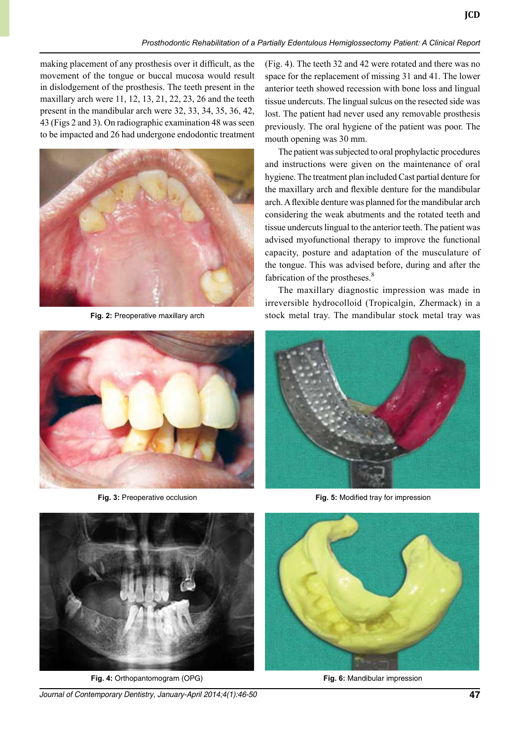making placement of any prosthesis over it difficult, as the movement of the tongue or buccal mucosa would result in dislodgement of the prosthesis. The teeth present in the maxillary arch were 11, 12, 13, 21, 22, 23, 26 and the teeth present in the mandibular arch were 32, 33, 34, 35, 36, 42, 43 (Figs 2 and 3). On radiographic examination 48 was seen to be impacted and 26 had undergone endodontic treatment



**Fig. 2:** Preoperative maxillary arch



**Fig. 3:** Preoperative occlusion

(Fig. 4). The teeth 32 and 42 were rotated and there was no space for the replacement of missing 31 and 41. The lower anterior teeth showed recession with bone loss and lingual tissue undercuts. The lingual sulcus on the resected side was lost. The patient had never used any removable prosthesis previously. The oral hygiene of the patient was poor. The mouth opening was 30 mm.

**JCD**

The patient was subjected to oral prophylactic procedures and instructions were given on the maintenance of oral hygiene. The treatment plan included Cast partial denture for the maxillary arch and flexible denture for the mandibular arch. A flexible denture was planned for the mandibular arch considering the weak abutments and the rotated teeth and tissue undercuts lingual to the anterior teeth. The patient was advised myofunctional therapy to improve the functional capacity, posture and adaptation of the musculature of the tongue. This was advised before, during and after the fabrication of the prostheses.<sup>8</sup>

The maxillary diagnostic impression was made in irreversible hydrocolloid (Tropicalgin, Zhermack) in a stock metal tray. The mandibular stock metal tray was



**Fig. 5:** Modified tray for impression



**Fig. 4:** Orthopantomogram (OPG)

*Journal of Contemporary Dentistry, January-April 2014;4(1):46-50* **47**



**Fig. 6:** Mandibular impression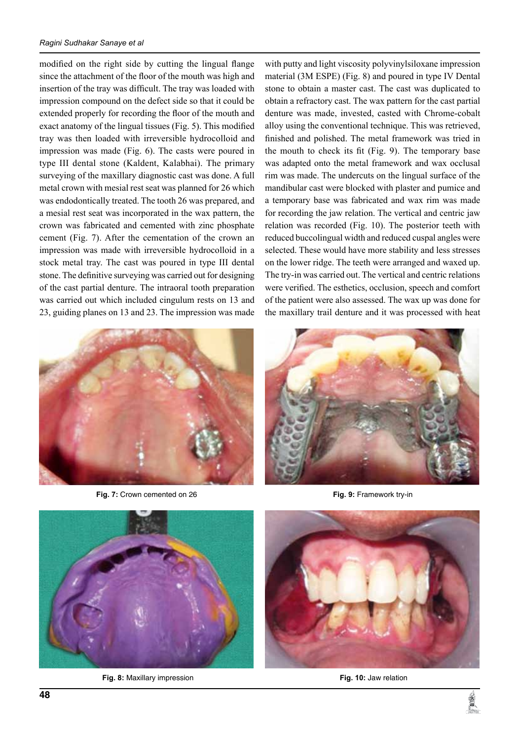modified on the right side by cutting the lingual flange since the attachment of the floor of the mouth was high and insertion of the tray was difficult. The tray was loaded with impression compound on the defect side so that it could be extended properly for recording the floor of the mouth and exact anatomy of the lingual tissues (Fig. 5). This modified tray was then loaded with irreversible hydrocolloid and impression was made (Fig. 6). The casts were poured in type III dental stone (Kaldent, Kalabhai). The primary surveying of the maxillary diagnostic cast was done. A full metal crown with mesial rest seat was planned for 26 which was endodontically treated. The tooth 26 was prepared, and a mesial rest seat was incorporated in the wax pattern, the crown was fabricated and cemented with zinc phosphate cement (Fig. 7). After the cementation of the crown an impression was made with irreversible hydrocolloid in a stock metal tray. The cast was poured in type III dental stone. The definitive surveying was carried out for designing of the cast partial denture. The intraoral tooth preparation was carried out which included cingulum rests on 13 and 23, guiding planes on 13 and 23. The impression was made



**Fig. 7:** Crown cemented on 26

with putty and light viscosity polyvinylsiloxane impression material (3M ESPE) (Fig. 8) and poured in type IV Dental stone to obtain a master cast. The cast was duplicated to obtain a refractory cast. The wax pattern for the cast partial denture was made, invested, casted with Chrome-cobalt alloy using the conventional technique. This was retrieved, finished and polished. The metal framework was tried in the mouth to check its fit (Fig. 9). The temporary base was adapted onto the metal framework and wax occlusal rim was made. The undercuts on the lingual surface of the mandibular cast were blocked with plaster and pumice and a temporary base was fabricated and wax rim was made for recording the jaw relation. The vertical and centric jaw relation was recorded (Fig. 10). The posterior teeth with reduced buccolingual width and reduced cuspal angles were selected. These would have more stability and less stresses on the lower ridge. The teeth were arranged and waxed up. The try-in was carried out. The vertical and centric relations were verified. The esthetics, occlusion, speech and comfort of the patient were also assessed. The wax up was done for the maxillary trail denture and it was processed with heat



**Fig. 9:** Framework try-in



**Fig. 8:** Maxillary impression



**Fig. 10:** Jaw relation

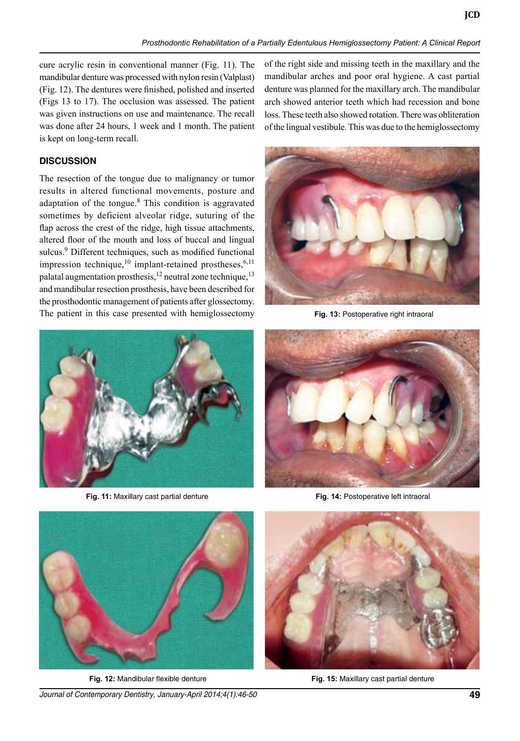cure acrylic resin in conventional manner (Fig. 11). The mandibular denture was processed with nylon resin (Valplast) (Fig. 12). The dentures were finished, polished and inserted (Figs 13 to 17). The occlusion was assessed. The patient was given instructions on use and maintenance. The recall was done after 24 hours, 1 week and 1 month. The patient is kept on long-term recall.

### **Discussion**

The resection of the tongue due to malignancy or tumor results in altered functional movements, posture and adaptation of the tongue.<sup>8</sup> This condition is aggravated sometimes by deficient alveolar ridge, suturing of the flap across the crest of the ridge, high tissue attachments, altered floor of the mouth and loss of buccal and lingual sulcus.<sup>9</sup> Different techniques, such as modified functional impression technique,<sup>10</sup> implant-retained prostheses,<sup>6,11</sup> palatal augmentation prosthesis,<sup>12</sup> neutral zone technique,<sup>13</sup> and mandibular resection prosthesis, have been described for the prosthodontic management of patients after glossectomy. The patient in this case presented with hemiglossectomy

of the right side and missing teeth in the maxillary and the mandibular arches and poor oral hygiene. A cast partial denture was planned for the maxillary arch. The mandibular arch showed anterior teeth which had recession and bone loss. These teeth also showed rotation. There was obliteration of the lingual vestibule. This was due to the hemiglossectomy



**Fig. 13:** Postoperative right intraoral



**Fig. 11:** Maxillary cast partial denture



**Fig. 14:** Postoperative left intraoral



**Fig. 12:** Mandibular flexible denture

*Journal of Contemporary Dentistry, January-April 2014;4(1):46-50* **49**



**Fig. 15:** Maxillary cast partial denture